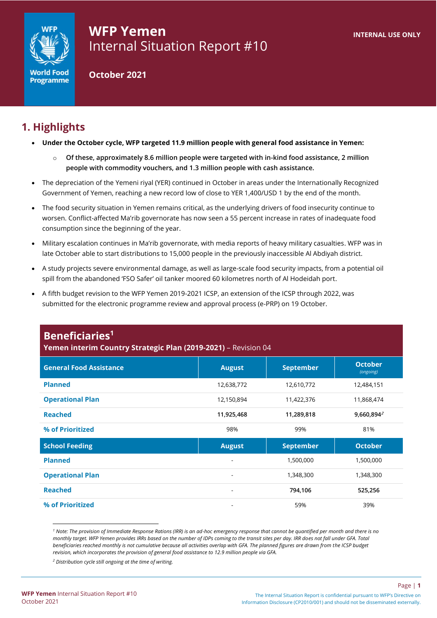

# **WFP Yemen** Internal Situation Report #10

**October 2021**

# **1. Highlights**

- **Under the October cycle, WFP targeted 11.9 million people with general food assistance in Yemen:** 
	- o **Of these, approximately 8.6 million people were targeted with in-kind food assistance, 2 million people with commodity vouchers, and 1.3 million people with cash assistance.**
- The depreciation of the Yemeni riyal (YER) continued in October in areas under the Internationally Recognized Government of Yemen, reaching a new record low of close to YER 1,400/USD 1 by the end of the month.
- The food security situation in Yemen remains critical, as the underlying drivers of food insecurity continue to worsen. Conflict-affected Ma'rib governorate has now seen a 55 percent increase in rates of inadequate food consumption since the beginning of the year.
- Military escalation continues in Ma'rib governorate, with media reports of heavy military casualties. WFP was in late October able to start distributions to 15,000 people in the previously inaccessible Al Abdiyah district.
- A study projects severe environmental damage, as well as large-scale food security impacts, from a potential oil spill from the abandoned 'FSO Safer' oil tanker moored 60 kilometres north of Al Hodeidah port.
- A fifth budget revision to the WFP Yemen 2019-2021 ICSP, an extension of the ICSP through 2022, was submitted for the electronic programme review and approval process (e-PRP) on 19 October.

| Yemen interim Country Strategic Plan (2019-2021) - Revision 04 |                          |                        |                             |  |  |  |  |  |
|----------------------------------------------------------------|--------------------------|------------------------|-----------------------------|--|--|--|--|--|
| <b>General Food Assistance</b>                                 | <b>August</b>            | <b>September</b>       | <b>October</b><br>(ongoing) |  |  |  |  |  |
| <b>Planned</b>                                                 | 12,638,772               | 12,610,772             | 12,484,151                  |  |  |  |  |  |
| <b>Operational Plan</b>                                        | 12,150,894               | 11,422,376             | 11,868,474                  |  |  |  |  |  |
| <b>Reached</b>                                                 | 11,925,468               | 9,660,894 <sup>2</sup> |                             |  |  |  |  |  |
| % of Prioritized                                               | 98%                      | 99%                    | 81%                         |  |  |  |  |  |
| <b>School Feeding</b>                                          | <b>August</b>            | <b>September</b>       | <b>October</b>              |  |  |  |  |  |
| <b>Planned</b>                                                 |                          | 1,500,000              | 1,500,000                   |  |  |  |  |  |
| <b>Operational Plan</b>                                        | $\overline{\phantom{a}}$ | 1,348,300              | 1,348,300                   |  |  |  |  |  |
| <b>Reached</b>                                                 | ۰                        | 794,106<br>525,256     |                             |  |  |  |  |  |
| % of Prioritized                                               |                          | 59%                    | 39%                         |  |  |  |  |  |

*<sup>1</sup> Note: The provision of Immediate Response Rations (IRR) is an ad-hoc emergency response that cannot be quantified per month and there is no monthly target. WFP Yemen provides IRRs based on the number of IDPs coming to the transit sites per day. IRR does not fall under GFA. Total beneficiaries reached monthly is not cumulative because all activities overlap with GFA. The planned figures are drawn from the ICSP budget revision, which incorporates the provision of general food assistance to 12.9 million people via GFA.* 

**Beneficiaries<sup>1</sup>**

*<sup>2</sup> Distribution cycle still ongoing at the time of writing.*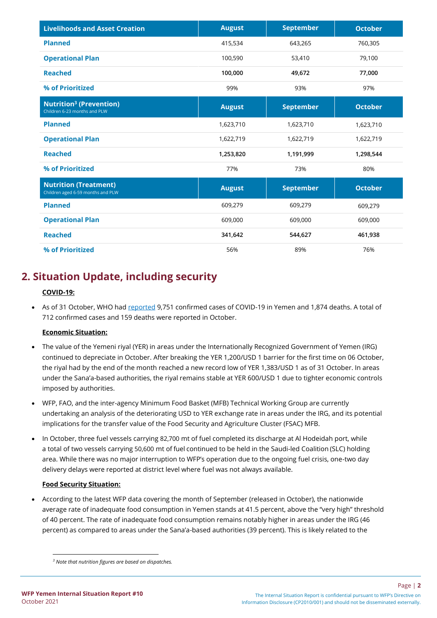| <b>Livelihoods and Asset Creation</b>                                     | <b>August</b> | <b>September</b> | <b>October</b> |
|---------------------------------------------------------------------------|---------------|------------------|----------------|
| <b>Planned</b>                                                            | 415,534       | 643,265          | 760,305        |
| <b>Operational Plan</b>                                                   | 100,590       | 53,410           | 79,100         |
| <b>Reached</b>                                                            | 100,000       | 49,672           | 77,000         |
| % of Prioritized                                                          | 99%           | 93%              | 97%            |
| <b>Nutrition<sup>3</sup></b> (Prevention)<br>Children 6-23 months and PLW | <b>August</b> | <b>September</b> | <b>October</b> |
| <b>Planned</b>                                                            | 1,623,710     | 1,623,710        | 1,623,710      |
| <b>Operational Plan</b>                                                   | 1,622,719     | 1,622,719        | 1,622,719      |
| <b>Reached</b>                                                            | 1,253,820     | 1,191,999        | 1,298,544      |
| % of Prioritized                                                          | 77%           | 73%              | 80%            |
| <b>Nutrition (Treatment)</b><br>Children aged 6-59 months and PLW         | <b>August</b> | <b>September</b> | <b>October</b> |
| <b>Planned</b>                                                            | 609,279       | 609,279          | 609,279        |
| <b>Operational Plan</b>                                                   | 609,000       | 609,000          | 609,000        |
| <b>Reached</b>                                                            | 341,642       | 544,627          | 461,938        |
| % of Prioritized                                                          | 56%           | 89%              | 76%            |

# **2. Situation Update, including security**

#### **COVID-19:**

• As of 31 October, WHO had [reported](https://covid19.who.int/region/emro/country/ye) 9,751 confirmed cases of COVID-19 in Yemen and 1,874 deaths. A total of 712 confirmed cases and 159 deaths were reported in October.

#### **Economic Situation:**

- The value of the Yemeni riyal (YER) in areas under the Internationally Recognized Government of Yemen (IRG) continued to depreciate in October. After breaking the YER 1,200/USD 1 barrier for the first time on 06 October, the riyal had by the end of the month reached a new record low of YER 1,383/USD 1 as of 31 October. In areas under the Sana'a-based authorities, the riyal remains stable at YER 600/USD 1 due to tighter economic controls imposed by authorities.
- WFP, FAO, and the inter-agency Minimum Food Basket (MFB) Technical Working Group are currently undertaking an analysis of the deteriorating USD to YER exchange rate in areas under the IRG, and its potential implications for the transfer value of the Food Security and Agriculture Cluster (FSAC) MFB.
- In October, three fuel vessels carrying 82,700 mt of fuel completed its discharge at Al Hodeidah port, while a total of two vessels carrying 50,600 mt of fuel continued to be held in the Saudi-led Coalition (SLC) holding area. While there was no major interruption to WFP's operation due to the ongoing fuel crisis, one-two day delivery delays were reported at district level where fuel was not always available.

#### **Food Security Situation:**

• According to the latest WFP data covering the month of September (released in October), the nationwide average rate of inadequate food consumption in Yemen stands at 41.5 percent, above the "very high" threshold of 40 percent. The rate of inadequate food consumption remains notably higher in areas under the IRG (46 percent) as compared to areas under the Sana'a-based authorities (39 percent). This is likely related to the

*<sup>3</sup> Note that nutrition figures are based on dispatches.*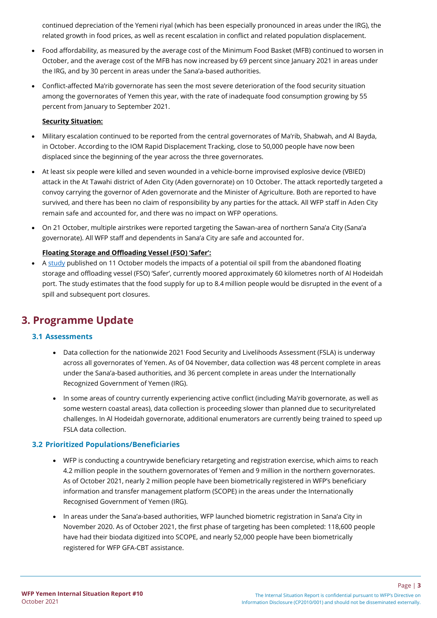continued depreciation of the Yemeni riyal (which has been especially pronounced in areas under the IRG), the related growth in food prices, as well as recent escalation in conflict and related population displacement.

- Food affordability, as measured by the average cost of the Minimum Food Basket (MFB) continued to worsen in October, and the average cost of the MFB has now increased by 69 percent since January 2021 in areas under the IRG, and by 30 percent in areas under the Sana'a-based authorities.
- Conflict-affected Ma'rib governorate has seen the most severe deterioration of the food security situation among the governorates of Yemen this year, with the rate of inadequate food consumption growing by 55 percent from January to September 2021.

#### **Security Situation:**

- Military escalation continued to be reported from the central governorates of Ma'rib, Shabwah, and Al Bayda, in October. According to the IOM Rapid Displacement Tracking, close to 50,000 people have now been displaced since the beginning of the year across the three governorates.
- At least six people were killed and seven wounded in a vehicle-borne improvised explosive device (VBIED) attack in the At Tawahi district of Aden City (Aden governorate) on 10 October. The attack reportedly targeted a convoy carrying the governor of Aden governorate and the Minister of Agriculture. Both are reported to have survived, and there has been no claim of responsibility by any parties for the attack. All WFP staff in Aden City remain safe and accounted for, and there was no impact on WFP operations.
- On 21 October, multiple airstrikes were reported targeting the Sawan-area of northern Sana'a City (Sana'a governorate). All WFP staff and dependents in Sana'a City are safe and accounted for.

#### **Floating Storage and Offloading Vessel (FSO) 'Safer':**

• [A study](https://www.nature.com/articles/s41893-021-00774-8) published on 11 October models the impacts of a potential oil spill from the abandoned floating storage and offloading vessel (FSO) 'Safer', currently moored approximately 60 kilometres north of Al Hodeidah port. The study estimates that the food supply for up to 8.4 million people would be disrupted in the event of a spill and subsequent port closures.

## **3. Programme Update**

### **3.1 Assessments**

- Data collection for the nationwide 2021 Food Security and Livelihoods Assessment (FSLA) is underway across all governorates of Yemen. As of 04 November, data collection was 48 percent complete in areas under the Sana'a-based authorities, and 36 percent complete in areas under the Internationally Recognized Government of Yemen (IRG).
- In some areas of country currently experiencing active conflict (including Ma'rib governorate, as well as some western coastal areas), data collection is proceeding slower than planned due to securityrelated challenges. In Al Hodeidah governorate, additional enumerators are currently being trained to speed up FSLA data collection.

### **3.2 Prioritized Populations/Beneficiaries**

- WFP is conducting a countrywide beneficiary retargeting and registration exercise, which aims to reach 4.2 million people in the southern governorates of Yemen and 9 million in the northern governorates. As of October 2021, nearly 2 million people have been biometrically registered in WFP's beneficiary information and transfer management platform (SCOPE) in the areas under the Internationally Recognised Government of Yemen (IRG).
- In areas under the Sana'a-based authorities, WFP launched biometric registration in Sana'a City in November 2020. As of October 2021, the first phase of targeting has been completed: 118,600 people have had their biodata digitized into SCOPE, and nearly 52,000 people have been biometrically registered for WFP GFA-CBT assistance.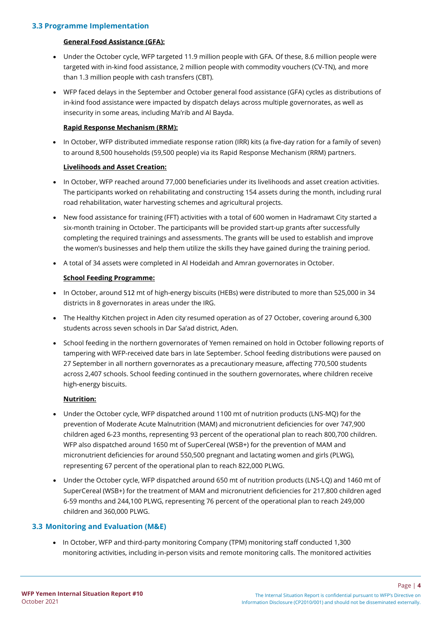#### **3.3 Programme Implementation**

#### **General Food Assistance (GFA):**

- Under the October cycle, WFP targeted 11.9 million people with GFA. Of these, 8.6 million people were targeted with in-kind food assistance, 2 million people with commodity vouchers (CV-TN), and more than 1.3 million people with cash transfers (CBT).
- WFP faced delays in the September and October general food assistance (GFA) cycles as distributions of in-kind food assistance were impacted by dispatch delays across multiple governorates, as well as insecurity in some areas, including Ma'rib and Al Bayda.

#### **Rapid Response Mechanism (RRM):**

• In October, WFP distributed immediate response ration (IRR) kits (a five-day ration for a family of seven) to around 8,500 households (59,500 people) via its Rapid Response Mechanism (RRM) partners.

#### **Livelihoods and Asset Creation:**

- In October, WFP reached around 77,000 beneficiaries under its livelihoods and asset creation activities. The participants worked on rehabilitating and constructing 154 assets during the month, including rural road rehabilitation, water harvesting schemes and agricultural projects.
- New food assistance for training (FFT) activities with a total of 600 women in Hadramawt City started a six-month training in October. The participants will be provided start-up grants after successfully completing the required trainings and assessments. The grants will be used to establish and improve the women's businesses and help them utilize the skills they have gained during the training period.
- A total of 34 assets were completed in Al Hodeidah and Amran governorates in October.

### **School Feeding Programme:**

- In October, around 512 mt of high-energy biscuits (HEBs) were distributed to more than 525,000 in 34 districts in 8 governorates in areas under the IRG.
- The Healthy Kitchen project in Aden city resumed operation as of 27 October, covering around 6,300 students across seven schools in Dar Sa'ad district, Aden.
- School feeding in the northern governorates of Yemen remained on hold in October following reports of tampering with WFP-received date bars in late September. School feeding distributions were paused on 27 September in all northern governorates as a precautionary measure, affecting 770,500 students across 2,407 schools. School feeding continued in the southern governorates, where children receive high-energy biscuits.

#### **Nutrition:**

- Under the October cycle, WFP dispatched around 1100 mt of nutrition products (LNS-MQ) for the prevention of Moderate Acute Malnutrition (MAM) and micronutrient deficiencies for over 747,900 children aged 6-23 months, representing 93 percent of the operational plan to reach 800,700 children. WFP also dispatched around 1650 mt of SuperCereal (WSB+) for the prevention of MAM and micronutrient deficiencies for around 550,500 pregnant and lactating women and girls (PLWG), representing 67 percent of the operational plan to reach 822,000 PLWG.
- Under the October cycle, WFP dispatched around 650 mt of nutrition products (LNS-LQ) and 1460 mt of SuperCereal (WSB+) for the treatment of MAM and micronutrient deficiencies for 217,800 children aged 6-59 months and 244,100 PLWG, representing 76 percent of the operational plan to reach 249,000 children and 360,000 PLWG.

### **3.3 Monitoring and Evaluation (M&E)**

• In October, WFP and third-party monitoring Company (TPM) monitoring staff conducted 1,300 monitoring activities, including in-person visits and remote monitoring calls. The monitored activities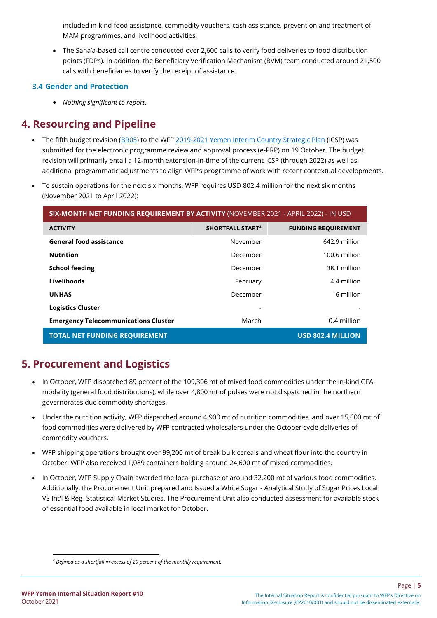included in-kind food assistance, commodity vouchers, cash assistance, prevention and treatment of MAM programmes, and livelihood activities.

• The Sana'a-based call centre conducted over 2,600 calls to verify food deliveries to food distribution points (FDPs). In addition, the Beneficiary Verification Mechanism (BVM) team conducted around 21,500 calls with beneficiaries to verify the receipt of assistance.

### **3.4 Gender and Protection**

• *Nothing significant to report*.

## **4. Resourcing and Pipeline**

- The fifth budget revision [\(BR05\)](https://spaplus.wfp.org/group/33/projects/976) to the WF[P 2019-2021 Yemen Interim Country Strategic Plan](https://www.wfp.org/operations/ye01-yemen-interim-country-strategic-plan-2019-2021) (ICSP) was submitted for the electronic programme review and approval process (e-PRP) on 19 October. The budget revision will primarily entail a 12-month extension-in-time of the current ICSP (through 2022) as well as additional programmatic adjustments to align WFP's programme of work with recent contextual developments.
- To sustain operations for the next six months, WFP requires USD 802.4 million for the next six months (November 2021 to April 2022):

| SIX-MONTH NET FUNDING REQUIREMENT BY ACTIVITY (NOVEMBER 2021 - APRIL 2022) - IN USD |                         |                            |  |  |  |  |  |  |
|-------------------------------------------------------------------------------------|-------------------------|----------------------------|--|--|--|--|--|--|
| <b>ACTIVITY</b>                                                                     | <b>SHORTFALL START4</b> | <b>FUNDING REQUIREMENT</b> |  |  |  |  |  |  |
| <b>General food assistance</b>                                                      | November                | 642.9 million              |  |  |  |  |  |  |
| <b>Nutrition</b>                                                                    | December                | 100.6 million              |  |  |  |  |  |  |
| <b>School feeding</b>                                                               | December                | 38.1 million               |  |  |  |  |  |  |
| Livelihoods                                                                         | February                | 4.4 million                |  |  |  |  |  |  |
| <b>UNHAS</b>                                                                        | December                | 16 million                 |  |  |  |  |  |  |
| <b>Logistics Cluster</b>                                                            |                         |                            |  |  |  |  |  |  |
| <b>Emergency Telecommunications Cluster</b>                                         | March                   | 0.4 million                |  |  |  |  |  |  |
| <b>TOTAL NET FUNDING REQUIREMENT</b>                                                |                         | <b>USD 802.4 MILLION</b>   |  |  |  |  |  |  |

## **5. Procurement and Logistics**

- In October, WFP dispatched 89 percent of the 109,306 mt of mixed food commodities under the in-kind GFA modality (general food distributions), while over 4,800 mt of pulses were not dispatched in the northern governorates due commodity shortages.
- Under the nutrition activity, WFP dispatched around 4,900 mt of nutrition commodities, and over 15,600 mt of food commodities were delivered by WFP contracted wholesalers under the October cycle deliveries of commodity vouchers.
- WFP shipping operations brought over 99,200 mt of break bulk cereals and wheat flour into the country in October. WFP also received 1,089 containers holding around 24,600 mt of mixed commodities.
- In October, WFP Supply Chain awarded the local purchase of around 32,200 mt of various food commodities. Additionally, the Procurement Unit prepared and Issued a White Sugar - Analytical Study of Sugar Prices Local VS Int'l & Reg- Statistical Market Studies. The Procurement Unit also conducted assessment for available stock of essential food available in local market for October.

Page | **5**

*<sup>4</sup> Defined as a shortfall in excess of 20 percent of the monthly requirement.*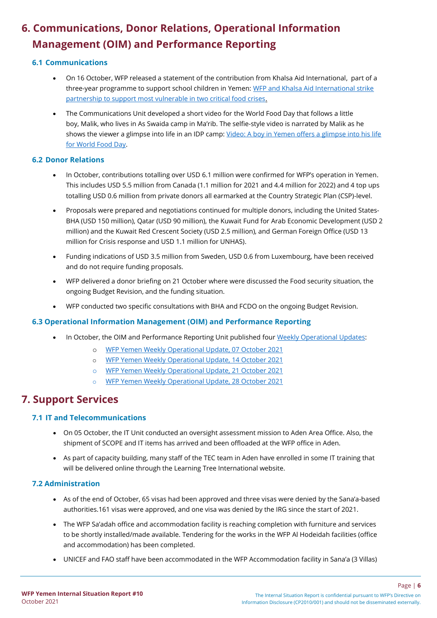# **6. Communications, Donor Relations, Operational Information Management (OIM) and Performance Reporting**

### **6.1 Communications**

- On 16 October, WFP released a statement of the contribution from Khalsa Aid International, part of a three-year programme to support school children in Yemen: WFP and Khalsa Aid International strike [partnership to support most vulnerable in two critical food crises.](https://eur03.safelinks.protection.outlook.com/?url=https%3A%2F%2Fwww.wfp.org%2Fnews%2Fwfp-and-khalsa-aid-international-strike-partnership-support-most-vulnerable-two-critical-food&data=04%7C01%7Cahmed.elaghil%40wfp.org%7Cd4a2ce1e5c924603cf9908d99f7c67c5%7C462ad9aed7d94206b87471b1e079776f%7C0%7C0%7C637716178922535916%7CUnknown%7CTWFpbGZsb3d8eyJWIjoiMC4wLjAwMDAiLCJQIjoiV2luMzIiLCJBTiI6Ik1haWwiLCJXVCI6Mn0%3D%7C1000&sdata=tr%2B3nO%2Fv%2FpT7zuTZ0kEf4bSsZuzPc7ReOaR6gm2u4h0%3D&reserved=0)
- The Communications Unit developed a short video for the World Food Day that follows a little boy, Malik, who lives in As Swaida camp in Ma'rib. The selfie-style video is narrated by Malik as he shows the viewer a glimpse into life in an IDP camp[: Video: A boy in Yemen offers a glimpse into his life](https://eur03.safelinks.protection.outlook.com/?url=https%3A%2F%2Fwww.wfp.org%2Fstories%2Fyemen-world-food-day-video-boy-un-wfp-hunger-refugees-displaced%3F_ga%3D2.17826809.1184703322.1636020099-1239353596.1560153367&data=04%7C01%7Cahmed.elaghil%40wfp.org%7Cd4a2ce1e5c924603cf9908d99f7c67c5%7C462ad9aed7d94206b87471b1e079776f%7C0%7C0%7C637716178922535916%7CUnknown%7CTWFpbGZsb3d8eyJWIjoiMC4wLjAwMDAiLCJQIjoiV2luMzIiLCJBTiI6Ik1haWwiLCJXVCI6Mn0%3D%7C1000&sdata=eYJODdyApx1pIbroDzlBZxY9OiPIjd3%2B0zT7LDyF2PI%3D&reserved=0)  [for World Food Day.](https://eur03.safelinks.protection.outlook.com/?url=https%3A%2F%2Fwww.wfp.org%2Fstories%2Fyemen-world-food-day-video-boy-un-wfp-hunger-refugees-displaced%3F_ga%3D2.17826809.1184703322.1636020099-1239353596.1560153367&data=04%7C01%7Cahmed.elaghil%40wfp.org%7Cd4a2ce1e5c924603cf9908d99f7c67c5%7C462ad9aed7d94206b87471b1e079776f%7C0%7C0%7C637716178922535916%7CUnknown%7CTWFpbGZsb3d8eyJWIjoiMC4wLjAwMDAiLCJQIjoiV2luMzIiLCJBTiI6Ik1haWwiLCJXVCI6Mn0%3D%7C1000&sdata=eYJODdyApx1pIbroDzlBZxY9OiPIjd3%2B0zT7LDyF2PI%3D&reserved=0)

### **6.2 Donor Relations**

- In October, contributions totalling over USD 6.1 million were confirmed for WFP's operation in Yemen. This includes USD 5.5 million from Canada (1.1 million for 2021 and 4.4 million for 2022) and 4 top ups totalling USD 0.6 million from private donors all earmarked at the Country Strategic Plan (CSP)-level.
- Proposals were prepared and negotiations continued for multiple donors, including the United States-BHA (USD 150 million), Qatar (USD 90 million), the Kuwait Fund for Arab Economic Development (USD 2 million) and the Kuwait Red Crescent Society (USD 2.5 million), and German Foreign Office (USD 13 million for Crisis response and USD 1.1 million for UNHAS).
- Funding indications of USD 3.5 million from Sweden, USD 0.6 from Luxembourg, have been received and do not require funding proposals.
- WFP delivered a donor briefing on 21 October where were discussed the Food security situation, the ongoing Budget Revision, and the funding situation.
- WFP conducted two specific consultations with BHA and FCDO on the ongoing Budget Revision.

## **6.3 Operational Information Management (OIM) and Performance Reporting**

- In October, the OIM and Performance Reporting Unit published four Weekly Operational Updates:
	- o [WFP Yemen Weekly Operational Update, 07](https://private.media.opweb.wfp.org/docs/10/4275/24800.pdf) October 2021
	- o [WFP Yemen Weekly Operational Update, 14](https://private.media.opweb.wfp.org/docs/10/4275/24808.pdf) October 2021
	- o [WFP Yemen Weekly Operational Update, 21](https://private.media.opweb.wfp.org/docs/10/4275/24815.pdf) October 2021
	- o [WFP Yemen Weekly Operational Update, 28](https://private.media.opweb.wfp.org/docs/10/4275/24827.pdf) October 2021

# **7. Support Services**

## **7.1 IT and Telecommunications**

- On 05 October, the IT Unit conducted an oversight assessment mission to Aden Area Office. Also, the shipment of SCOPE and IT items has arrived and been offloaded at the WFP office in Aden.
- As part of capacity building, many staff of the TEC team in Aden have enrolled in some IT training that will be delivered online through the Learning Tree International website.

## **7.2 Administration**

- As of the end of October, 65 visas had been approved and three visas were denied by the Sana'a-based authorities.161 visas were approved, and one visa was denied by the IRG since the start of 2021.
- The WFP Sa'adah office and accommodation facility is reaching completion with furniture and services to be shortly installed/made available. Tendering for the works in the WFP Al Hodeidah facilities (office and accommodation) has been completed.
- UNICEF and FAO staff have been accommodated in the WFP Accommodation facility in Sana'a (3 Villas)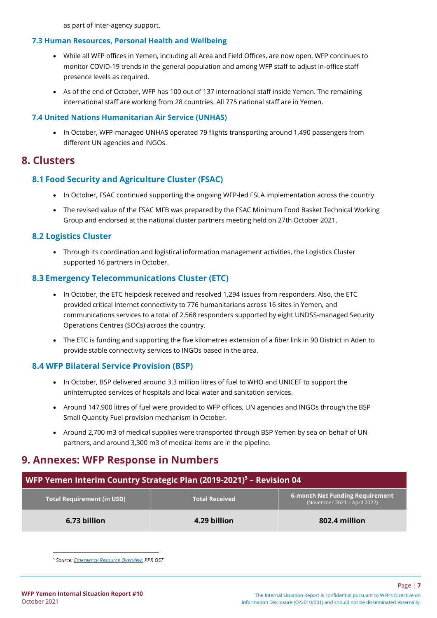as part of inter-agency support.

#### **7.3 Human Resources, Personal Health and Wellbeing**

- While all WFP offices in Yemen, including all Area and Field Offices, are now open, WFP continues to monitor COVID-19 trends in the general population and among WFP staff to adjust in-office staff presence levels as required.
- As of the end of October, WFP has 100 out of 137 international staff inside Yemen. The remaining international staff are working from 28 countries. All 775 national staff are in Yemen.

#### **7.4 United Nations Humanitarian Air Service (UNHAS)**

• In October, WFP-managed UNHAS operated 79 flights transporting around 1,490 passengers from different UN agencies and INGOs.

## **8. Clusters**

## **8.1 Food Security and Agriculture Cluster (FSAC)**

- In October, FSAC continued supporting the ongoing WFP-led FSLA implementation across the country.
- The revised value of the FSAC MFB was prepared by the FSAC Minimum Food Basket Technical Working Group and endorsed at the national cluster partners meeting held on 27th October 2021.

## **8.2 Logistics Cluster**

• Through its coordination and logistical information management activities, the Logistics Cluster supported 16 partners in October.

## **8.3 Emergency Telecommunications Cluster (ETC)**

- In October, the ETC helpdesk received and resolved 1,294 issues from responders. Also, the ETC provided critical Internet connectivity to 776 humanitarians across 16 sites in Yemen, and communications services to a total of 2,568 responders supported by eight UNDSS-managed Security Operations Centres (SOCs) across the country.
- The ETC is funding and supporting the five kilometres extension of a fiber link in 90 District in Aden to provide stable connectivity services to INGOs based in the area.

## **8.4 WFP Bilateral Service Provision (BSP)**

- In October, BSP delivered around 3.3 million litres of fuel to WHO and UNICEF to support the uninterrupted services of hospitals and local water and sanitation services.
- Around 147,900 litres of fuel were provided to WFP offices, UN agencies and INGOs through the BSP Small Quantity Fuel provision mechanism in October.
- Around 2,700 m3 of medical supplies were transported through BSP Yemen by sea on behalf of UN partners, and around 3,300 m3 of medical items are in the pipeline.

## **9. Annexes: WFP Response in Numbers**

| WFP Yemen Interim Country Strategic Plan (2019-2021) <sup>5</sup> - Revision 04 |                       |                                                                        |  |  |  |  |  |  |
|---------------------------------------------------------------------------------|-----------------------|------------------------------------------------------------------------|--|--|--|--|--|--|
| <b>Total Requirement (in USD)</b>                                               | <b>Total Received</b> | <b>6-month Net Funding Requirement</b><br>(November 2021 – April 2022) |  |  |  |  |  |  |
| 6.73 billion                                                                    | 4.29 billion          | 802.4 million                                                          |  |  |  |  |  |  |

*<sup>5</sup> Source[: Emergency Resource Overview,](https://opweb.wfp.org/resourceOverview) PPR OST*

Page | **7**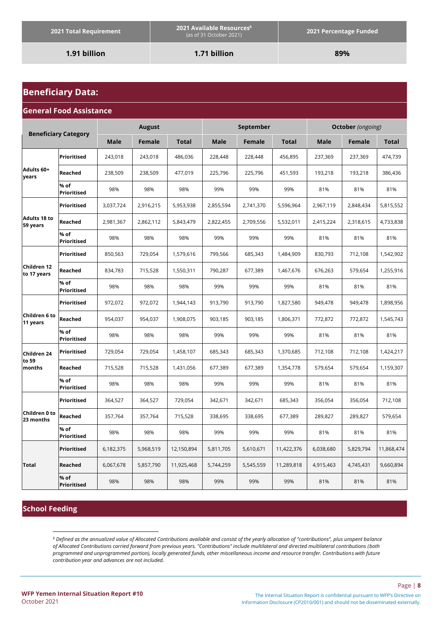**1.91 billion 1.71 billion 89%**

## **Beneficiary Data:**

#### **General Food Assistance**

| <b>Beneficiary Category</b>     |                            | <b>August</b> |               |              | September   |               |              | <b>October</b> (ongoing) |           |              |
|---------------------------------|----------------------------|---------------|---------------|--------------|-------------|---------------|--------------|--------------------------|-----------|--------------|
|                                 |                            | <b>Male</b>   | <b>Female</b> | <b>Total</b> | <b>Male</b> | <b>Female</b> | <b>Total</b> | <b>Male</b>              | Female    | <b>Total</b> |
|                                 | Prioritised                | 243,018       | 243,018       | 486,036      | 228,448     | 228,448       | 456,895      | 237,369                  | 237,369   | 474,739      |
| Adults 60+<br>years             | Reached                    | 238,509       | 238,509       | 477,019      | 225,796     | 225,796       | 451,593      | 193,218                  | 193,218   | 386,436      |
|                                 | % of<br>Prioritised        | 98%           | 98%           | 98%          | 99%         | 99%           | 99%          | 81%                      | 81%       | 81%          |
|                                 | Prioritised                | 3,037,724     | 2,916,215     | 5,953,938    | 2,855,594   | 2,741,370     | 5,596,964    | 2,967,119                | 2,848,434 | 5,815,552    |
| <b>Adults 18 to</b><br>59 years | Reached                    | 2,981,367     | 2,862,112     | 5,843,479    | 2,822,455   | 2,709,556     | 5,532,011    | 2,415,224                | 2,318,615 | 4,733,838    |
|                                 | % of<br>Prioritised        | 98%           | 98%           | 98%          | 99%         | 99%           | 99%          | 81%                      | 81%       | 81%          |
|                                 | <b>Prioritised</b>         | 850,563       | 729,054       | 1,579,616    | 799,566     | 685,343       | 1,484,909    | 830,793                  | 712,108   | 1,542,902    |
| Children 12<br>to 17 years      | Reached                    | 834,783       | 715,528       | 1,550,311    | 790,287     | 677,389       | 1,467,676    | 676,263                  | 579,654   | 1,255,916    |
|                                 | % of<br><b>Prioritised</b> | 98%           | 98%           | 98%          | 99%         | 99%           | 99%          | 81%                      | 81%       | 81%          |
|                                 | <b>Prioritised</b>         | 972,072       | 972,072       | 1,944,143    | 913,790     | 913,790       | 1,827,580    | 949,478                  | 949,478   | 1,898,956    |
| Children 6 to<br>11 years       | Reached                    | 954,037       | 954,037       | 1,908,075    | 903,185     | 903,185       | 1,806,371    | 772,872                  | 772,872   | 1,545,743    |
|                                 | % of<br><b>Prioritised</b> | 98%           | 98%           | 98%          | 99%         | 99%           | 99%          | 81%                      | 81%       | 81%          |
| Children 24                     | Prioritised                | 729,054       | 729,054       | 1,458,107    | 685,343     | 685,343       | 1,370,685    | 712,108                  | 712,108   | 1,424,217    |
| to 59<br>months                 | Reached                    | 715,528       | 715,528       | 1,431,056    | 677,389     | 677,389       | 1,354,778    | 579,654                  | 579,654   | 1,159,307    |
|                                 | % of<br>Prioritised        | 98%           | 98%           | 98%          | 99%         | 99%           | 99%          | 81%                      | 81%       | 81%          |
|                                 | Prioritised                | 364,527       | 364,527       | 729,054      | 342,671     | 342,671       | 685,343      | 356,054                  | 356,054   | 712,108      |
| Children 0 to<br>23 months      | Reached                    | 357,764       | 357,764       | 715,528      | 338,695     | 338,695       | 677,389      | 289,827                  | 289,827   | 579,654      |
|                                 | % of<br><b>Prioritised</b> | 98%           | 98%           | 98%          | 99%         | 99%           | 99%          | 81%                      | 81%       | 81%          |
|                                 | Prioritised                | 6,182,375     | 5,968,519     | 12,150,894   | 5,811,705   | 5,610,671     | 11,422,376   | 6,038,680                | 5,829,794 | 11,868,474   |
| Total                           | Reached                    | 6,067,678     | 5,857,790     | 11,925,468   | 5,744,259   | 5,545,559     | 11,289,818   | 4,915,463                | 4,745,431 | 9,660,894    |
|                                 | % of<br>Prioritised        | 98%           | 98%           | 98%          | 99%         | 99%           | 99%          | 81%                      | 81%       | 81%          |

#### **School Feeding**

*<sup>6</sup> Defined as the annualized value of Allocated Contributions available and consist of the yearly allocation of "contributions", plus unspent balance of Allocated Contributions carried forward from previous years. "Contributions" include multilateral and directed multilateral contributions (both programmed and unprogrammed portion), locally generated funds, other miscellaneous income and resource transfer. Contributions with future contribution year and advances are not included.*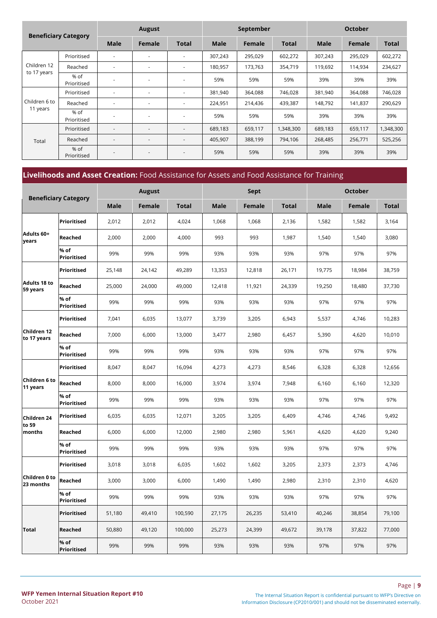| <b>Beneficiary Category</b> |                     | <b>August</b> |                          |                          | September   |               |              | <b>October</b> |         |              |
|-----------------------------|---------------------|---------------|--------------------------|--------------------------|-------------|---------------|--------------|----------------|---------|--------------|
|                             |                     | <b>Male</b>   | Female                   | <b>Total</b>             | <b>Male</b> | <b>Female</b> | <b>Total</b> | Male           | Female  | <b>Total</b> |
|                             | Prioritised         | ٠             |                          | ٠                        | 307,243     | 295,029       | 602,272      | 307,243        | 295,029 | 602,272      |
| Children 12                 | Reached             |               | $\overline{a}$           | ٠                        | 180,957     | 173,763       | 354,719      | 119,692        | 114,934 | 234,627      |
| to 17 years                 | % of<br>Prioritised |               | $\overline{\phantom{a}}$ | ٠                        | 59%         | 59%           | 59%          | 39%            | 39%     | 39%          |
|                             | Prioritised         | ٠             | $\overline{\phantom{a}}$ | ٠                        | 381,940     | 364,088       | 746,028      | 381,940        | 364,088 | 746,028      |
| Children 6 to               | Reached             | ٠             | $\overline{\phantom{a}}$ | $\overline{\phantom{a}}$ | 224,951     | 214,436       | 439,387      | 148,792        | 141,837 | 290,629      |
| 11 years                    | % of<br>Prioritised |               |                          | ٠                        | 59%         | 59%           | 59%          | 39%            | 39%     | 39%          |
|                             | Prioritised         | ٠             | $\overline{\phantom{a}}$ | $\overline{\phantom{a}}$ | 689,183     | 659,117       | 1,348,300    | 689,183        | 659,117 | 1,348,300    |
| Total                       | Reached             | ٠             | $\overline{\phantom{a}}$ | $\overline{\phantom{a}}$ | 405,907     | 388,199       | 794,106      | 268,485        | 256,771 | 525,256      |
|                             | % of<br>Prioritised |               |                          | ٠                        | 59%         | 59%           | 59%          | 39%            | 39%     | 39%          |

## **Livelihoods and Asset Creation:** Food Assistance for Assets and Food Assistance for Training

| <b>Beneficiary Category</b> |                            |             | <b>August</b> |              | Sept        |               |              | <b>October</b> |        |              |
|-----------------------------|----------------------------|-------------|---------------|--------------|-------------|---------------|--------------|----------------|--------|--------------|
|                             |                            | <b>Male</b> | <b>Female</b> | <b>Total</b> | <b>Male</b> | <b>Female</b> | <b>Total</b> | <b>Male</b>    | Female | <b>Total</b> |
|                             | Prioritised                | 2,012       | 2,012         | 4,024        | 1,068       | 1,068         | 2,136        | 1,582          | 1,582  | 3,164        |
| Adults 60+<br>years         | Reached                    | 2,000       | 2,000         | 4,000        | 993         | 993           | 1,987        | 1,540          | 1,540  | 3,080        |
|                             | % of<br>Prioritised        | 99%         | 99%           | 99%          | 93%         | 93%           | 93%          | 97%            | 97%    | 97%          |
|                             | Prioritised                | 25,148      | 24,142        | 49,289       | 13,353      | 12,818        | 26,171       | 19,775         | 18,984 | 38,759       |
| Adults 18 to<br>59 years    | Reached                    | 25,000      | 24,000        | 49,000       | 12,418      | 11,921        | 24,339       | 19,250         | 18,480 | 37,730       |
|                             | % of<br><b>Prioritised</b> | 99%         | 99%           | 99%          | 93%         | 93%           | 93%          | 97%            | 97%    | 97%          |
|                             | <b>Prioritised</b>         | 7,041       | 6,035         | 13,077       | 3,739       | 3,205         | 6,943        | 5,537          | 4,746  | 10,283       |
| Children 12<br>to 17 years  | Reached                    | 7,000       | 6,000         | 13,000       | 3,477       | 2,980         | 6,457        | 5,390          | 4,620  | 10,010       |
|                             | % of<br>Prioritised        | 99%         | 99%           | 99%          | 93%         | 93%           | 93%          | 97%            | 97%    | 97%          |
|                             | <b>Prioritised</b>         | 8,047       | 8,047         | 16,094       | 4,273       | 4,273         | 8,546        | 6,328          | 6,328  | 12,656       |
| Children 6 to<br>11 years   | Reached                    | 8,000       | 8,000         | 16,000       | 3,974       | 3,974         | 7,948        | 6,160          | 6,160  | 12,320       |
|                             | % of<br>Prioritised        | 99%         | 99%           | 99%          | 93%         | 93%           | 93%          | 97%            | 97%    | 97%          |
| Children 24                 | Prioritised                | 6,035       | 6,035         | 12,071       | 3,205       | 3,205         | 6,409        | 4,746          | 4,746  | 9,492        |
| to 59<br>months             | Reached                    | 6,000       | 6,000         | 12,000       | 2,980       | 2,980         | 5,961        | 4,620          | 4,620  | 9,240        |
|                             | % of<br><b>Prioritised</b> | 99%         | 99%           | 99%          | 93%         | 93%           | 93%          | 97%            | 97%    | 97%          |
|                             | Prioritised                | 3,018       | 3,018         | 6,035        | 1,602       | 1,602         | 3,205        | 2,373          | 2,373  | 4,746        |
| Children 0 to<br>23 months  | Reached                    | 3,000       | 3,000         | 6,000        | 1,490       | 1,490         | 2,980        | 2,310          | 2,310  | 4,620        |
|                             | % of<br><b>Prioritised</b> | 99%         | 99%           | 99%          | 93%         | 93%           | 93%          | 97%            | 97%    | 97%          |
|                             | Prioritised                | 51,180      | 49,410        | 100,590      | 27,175      | 26,235        | 53,410       | 40,246         | 38,854 | 79,100       |
| <b>Total</b>                | Reached                    | 50,880      | 49,120        | 100,000      | 25,273      | 24,399        | 49,672       | 39,178         | 37,822 | 77,000       |
|                             | % of<br>Prioritised        | 99%         | 99%           | 99%          | 93%         | 93%           | 93%          | 97%            | 97%    | 97%          |